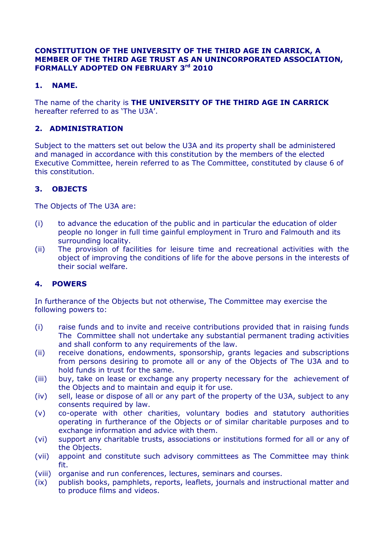#### **CONSTITUTION OF THE UNIVERSITY OF THE THIRD AGE IN CARRICK, A MEMBER OF THE THIRD AGE TRUST AS AN UNINCORPORATED ASSOCIATION, FORMALLY ADOPTED ON FEBRUARY 3rd 2010**

## **1. NAME.**

The name of the charity is **THE UNIVERSITY OF THE THIRD AGE IN CARRICK** hereafter referred to as 'The U3A'.

## **2. ADMINISTRATION**

Subject to the matters set out below the U3A and its property shall be administered and managed in accordance with this constitution by the members of the elected Executive Committee, herein referred to as The Committee, constituted by clause 6 of this constitution.

# **3. OBJECTS**

The Objects of The U3A are:

- (i) to advance the education of the public and in particular the education of older people no longer in full time gainful employment in Truro and Falmouth and its surrounding locality.
- (ii) The provision of facilities for leisure time and recreational activities with the object of improving the conditions of life for the above persons in the interests of their social welfare.

## **4. POWERS**

In furtherance of the Objects but not otherwise, The Committee may exercise the following powers to:

- (i) raise funds and to invite and receive contributions provided that in raising funds The Committee shall not undertake any substantial permanent trading activities and shall conform to any requirements of the law.
- (ii) receive donations, endowments, sponsorship, grants legacies and subscriptions from persons desiring to promote all or any of the Objects of The U3A and to hold funds in trust for the same.
- (iii) buy, take on lease or exchange any property necessary for the achievement of the Objects and to maintain and equip it for use.
- (iv) sell, lease or dispose of all or any part of the property of the U3A, subject to any consents required by law.
- (v) co-operate with other charities, voluntary bodies and statutory authorities operating in furtherance of the Objects or of similar charitable purposes and to exchange information and advice with them.
- (vi) support any charitable trusts, associations or institutions formed for all or any of the Objects.
- (vii) appoint and constitute such advisory committees as The Committee may think fit.
- (viii) organise and run conferences, lectures, seminars and courses.
- (ix) publish books, pamphlets, reports, leaflets, journals and instructional matter and to produce films and videos.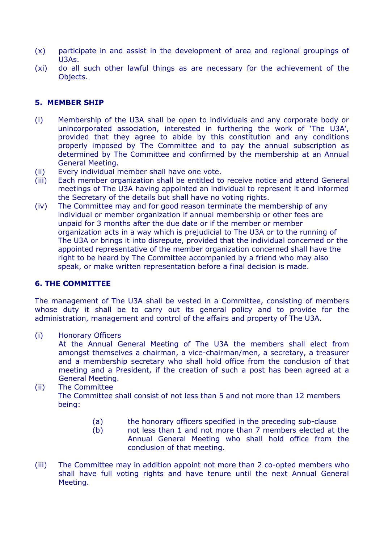- (x) participate in and assist in the development of area and regional groupings of U3As.
- (xi) do all such other lawful things as are necessary for the achievement of the Objects.

## **5. MEMBER SHIP**

- (i) Membership of the U3A shall be open to individuals and any corporate body or unincorporated association, interested in furthering the work of 'The U3A', provided that they agree to abide by this constitution and any conditions properly imposed by The Committee and to pay the annual subscription as determined by The Committee and confirmed by the membership at an Annual General Meeting.
- (ii) Every individual member shall have one vote.
- (iii) Each member organization shall be entitled to receive notice and attend General meetings of The U3A having appointed an individual to represent it and informed the Secretary of the details but shall have no voting rights.
- (iv) The Committee may and for good reason terminate the membership of any individual or member organization if annual membership or other fees are unpaid for 3 months after the due date or if the member or member organization acts in a way which is prejudicial to The U3A or to the running of The U3A or brings it into disrepute, provided that the individual concerned or the appointed representative of the member organization concerned shall have the right to be heard by The Committee accompanied by a friend who may also speak, or make written representation before a final decision is made.

## **6. THE COMMITTEE**

The management of The U3A shall be vested in a Committee, consisting of members whose duty it shall be to carry out its general policy and to provide for the administration, management and control of the affairs and property of The U3A.

(i) Honorary Officers

At the Annual General Meeting of The U3A the members shall elect from amongst themselves a chairman, a vice-chairman/men, a secretary, a treasurer and a membership secretary who shall hold office from the conclusion of that meeting and a President, if the creation of such a post has been agreed at a General Meeting.

(ii) The Committee

The Committee shall consist of not less than 5 and not more than 12 members being:

- (a) the honorary officers specified in the preceding sub-clause
- (b) not less than 1 and not more than 7 members elected at the Annual General Meeting who shall hold office from the conclusion of that meeting.
- (iii) The Committee may in addition appoint not more than 2 co-opted members who shall have full voting rights and have tenure until the next Annual General Meeting.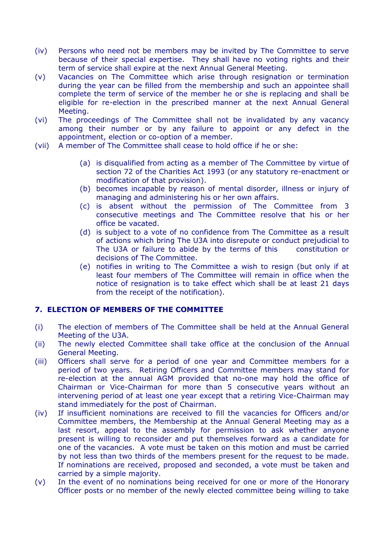- (iv) Persons who need not be members may be invited by The Committee to serve because of their special expertise. They shall have no voting rights and their term of service shall expire at the next Annual General Meeting.
- (v) Vacancies on The Committee which arise through resignation or termination during the year can be filled from the membership and such an appointee shall complete the term of service of the member he or she is replacing and shall be eligible for re-election in the prescribed manner at the next Annual General Meeting.
- (vi) The proceedings of The Committee shall not be invalidated by any vacancy among their number or by any failure to appoint or any defect in the appointment, election or co-option of a member.
- (vii) A member of The Committee shall cease to hold office if he or she:
	- (a) is disqualified from acting as a member of The Committee by virtue of section 72 of the Charities Act 1993 (or any statutory re-enactment or modification of that provision).
	- (b) becomes incapable by reason of mental disorder, illness or injury of managing and administering his or her own affairs.
	- (c) is absent without the permission of The Committee from 3 consecutive meetings and The Committee resolve that his or her office be vacated.
	- (d) is subject to a vote of no confidence from The Committee as a result of actions which bring The U3A into disrepute or conduct prejudicial to The U3A or failure to abide by the terms of this constitution or decisions of The Committee.
	- (e) notifies in writing to The Committee a wish to resign (but only if at least four members of The Committee will remain in office when the notice of resignation is to take effect which shall be at least 21 days from the receipt of the notification).

## **7. ELECTION OF MEMBERS OF THE COMMITTEE**

- (i) The election of members of The Committee shall be held at the Annual General Meeting of the U3A.
- (ii) The newly elected Committee shall take office at the conclusion of the Annual General Meeting.
- (iii) Officers shall serve for a period of one year and Committee members for a period of two years. Retiring Officers and Committee members may stand for re-election at the annual AGM provided that no-one may hold the office of Chairman or Vice-Chairman for more than 5 consecutive years without an intervening period of at least one year except that a retiring Vice-Chairman may stand immediately for the post of Chairman.
- (iv) If insufficient nominations are received to fill the vacancies for Officers and/or Committee members, the Membership at the Annual General Meeting may as a last resort, appeal to the assembly for permission to ask whether anyone present is willing to reconsider and put themselves forward as a candidate for one of the vacancies. A vote must be taken on this motion and must be carried by not less than two thirds of the members present for the request to be made. If nominations are received, proposed and seconded, a vote must be taken and carried by a simple majority.
- (v) In the event of no nominations being received for one or more of the Honorary Officer posts or no member of the newly elected committee being willing to take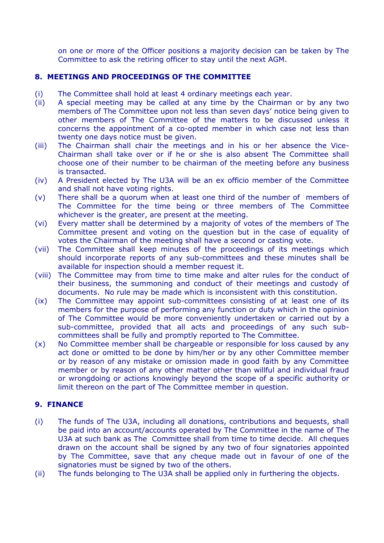on one or more of the Officer positions a majority decision can be taken by The Committee to ask the retiring officer to stay until the next AGM.

#### **8. MEETINGS AND PROCEEDINGS OF THE COMMITTEE**

- (i) The Committee shall hold at least 4 ordinary meetings each year.
- (ii) A special meeting may be called at any time by the Chairman or by any two members of The Committee upon not less than seven days' notice being given to other members of The Committee of the matters to be discussed unless it concerns the appointment of a co-opted member in which case not less than twenty one days notice must be given.
- (iii) The Chairman shall chair the meetings and in his or her absence the Vice-Chairman shall take over or if he or she is also absent The Committee shall choose one of their number to be chairman of the meeting before any business is transacted.
- (iv) A President elected by The U3A will be an ex officio member of the Committee and shall not have voting rights.
- (v) There shall be a quorum when at least one third of the number of members of The Committee for the time being or three members of The Committee whichever is the greater, are present at the meeting.
- (vi) Every matter shall be determined by a majority of votes of the members of The Committee present and voting on the question but in the case of equality of votes the Chairman of the meeting shall have a second or casting vote.
- (vii) The Committee shall keep minutes of the proceedings of its meetings which should incorporate reports of any sub-committees and these minutes shall be available for inspection should a member request it.
- (viii) The Committee may from time to time make and alter rules for the conduct of their business, the summoning and conduct of their meetings and custody of documents. No rule may be made which is inconsistent with this constitution.
- (ix) The Committee may appoint sub-committees consisting of at least one of its members for the purpose of performing any function or duty which in the opinion of The Committee would be more conveniently undertaken or carried out by a sub-committee, provided that all acts and proceedings of any such subcommittees shall be fully and promptly reported to The Committee.
- (x) No Committee member shall be chargeable or responsible for loss caused by any act done or omitted to be done by him/her or by any other Committee member or by reason of any mistake or omission made in good faith by any Committee member or by reason of any other matter other than willful and individual fraud or wrongdoing or actions knowingly beyond the scope of a specific authority or limit thereon on the part of The Committee member in question.

## **9. FINANCE**

- (i) The funds of The U3A, including all donations, contributions and bequests, shall be paid into an account/accounts operated by The Committee in the name of The U3A at such bank as The Committee shall from time to time decide. All cheques drawn on the account shall be signed by any two of four signatories appointed by The Committee, save that any cheque made out in favour of one of the signatories must be signed by two of the others.
- (ii) The funds belonging to The U3A shall be applied only in furthering the objects.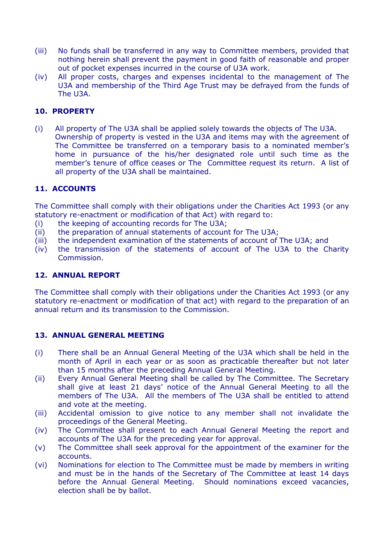- (iii) No funds shall be transferred in any way to Committee members, provided that nothing herein shall prevent the payment in good faith of reasonable and proper out of pocket expenses incurred in the course of U3A work.
- (iv) All proper costs, charges and expenses incidental to the management of The U3A and membership of the Third Age Trust may be defrayed from the funds of The U3A.

## **10. PROPERTY**

(i) All property of The U3A shall be applied solely towards the objects of The U3A. Ownership of property is vested in the U3A and items may with the agreement of The Committee be transferred on a temporary basis to a nominated member's home in pursuance of the his/her designated role until such time as the member's tenure of office ceases or The Committee request its return. A list of all property of the U3A shall be maintained.

## **11. ACCOUNTS**

The Committee shall comply with their obligations under the Charities Act 1993 (or any statutory re-enactment or modification of that Act) with regard to:

- (i) the keeping of accounting records for The U3A;
- (ii) the preparation of annual statements of account for The U3A;
- (iii) the independent examination of the statements of account of The U3A; and
- (iv) the transmission of the statements of account of The U3A to the Charity Commission.

## **12. ANNUAL REPORT**

The Committee shall comply with their obligations under the Charities Act 1993 (or any statutory re-enactment or modification of that act) with regard to the preparation of an annual return and its transmission to the Commission.

#### **13. ANNUAL GENERAL MEETING**

- (i) There shall be an Annual General Meeting of the U3A which shall be held in the month of April in each year or as soon as practicable thereafter but not later than 15 months after the preceding Annual General Meeting.
- (ii) Every Annual General Meeting shall be called by The Committee. The Secretary shall give at least 21 days' notice of the Annual General Meeting to all the members of The U3A. All the members of The U3A shall be entitled to attend and vote at the meeting.
- (iii) Accidental omission to give notice to any member shall not invalidate the proceedings of the General Meeting.
- (iv) The Committee shall present to each Annual General Meeting the report and accounts of The U3A for the preceding year for approval.
- (v) The Committee shall seek approval for the appointment of the examiner for the accounts.
- (vi) Nominations for election to The Committee must be made by members in writing and must be in the hands of the Secretary of The Committee at least 14 days before the Annual General Meeting. Should nominations exceed vacancies, election shall be by ballot.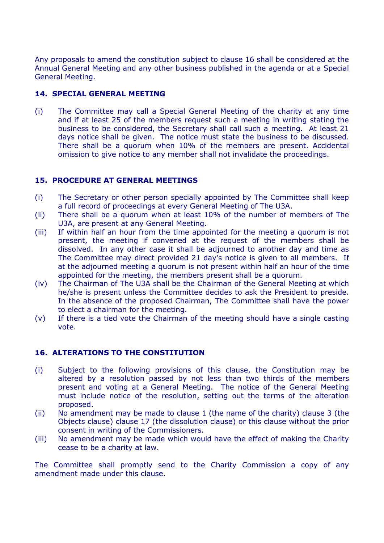Any proposals to amend the constitution subject to clause 16 shall be considered at the Annual General Meeting and any other business published in the agenda or at a Special General Meeting.

## **14. SPECIAL GENERAL MEETING**

(i) The Committee may call a Special General Meeting of the charity at any time and if at least 25 of the members request such a meeting in writing stating the business to be considered, the Secretary shall call such a meeting. At least 21 days notice shall be given. The notice must state the business to be discussed. There shall be a quorum when 10% of the members are present. Accidental omission to give notice to any member shall not invalidate the proceedings.

## **15. PROCEDURE AT GENERAL MEETINGS**

- (i) The Secretary or other person specially appointed by The Committee shall keep a full record of proceedings at every General Meeting of The U3A.
- (ii) There shall be a quorum when at least 10% of the number of members of The U3A, are present at any General Meeting.
- (iii) If within half an hour from the time appointed for the meeting a quorum is not present, the meeting if convened at the request of the members shall be dissolved. In any other case it shall be adjourned to another day and time as The Committee may direct provided 21 day's notice is given to all members. If at the adjourned meeting a quorum is not present within half an hour of the time appointed for the meeting, the members present shall be a quorum.
- (iv) The Chairman of The U3A shall be the Chairman of the General Meeting at which he/she is present unless the Committee decides to ask the President to preside. In the absence of the proposed Chairman, The Committee shall have the power to elect a chairman for the meeting.
- (v) If there is a tied vote the Chairman of the meeting should have a single casting vote.

# **16. ALTERATIONS TO THE CONSTITUTION**

- (i) Subject to the following provisions of this clause, the Constitution may be altered by a resolution passed by not less than two thirds of the members present and voting at a General Meeting. The notice of the General Meeting must include notice of the resolution, setting out the terms of the alteration proposed.
- (ii) No amendment may be made to clause 1 (the name of the charity) clause 3 (the Objects clause) clause 17 (the dissolution clause) or this clause without the prior consent in writing of the Commissioners.
- (iii) No amendment may be made which would have the effect of making the Charity cease to be a charity at law.

The Committee shall promptly send to the Charity Commission a copy of any amendment made under this clause.